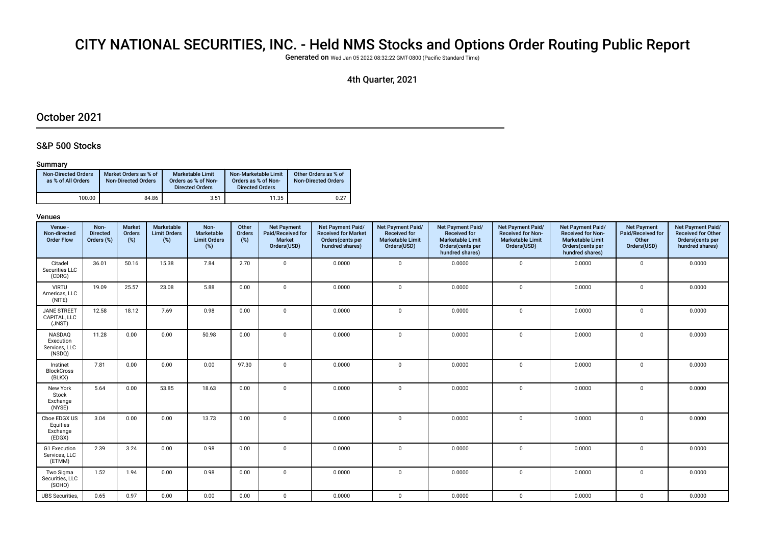# CITY NATIONAL SECURITIES, INC. - Held NMS Stocks and Options Order Routing Public Report

Generated on Wed Jan 05 2022 08:32:22 GMT-0800 (Pacifc Standard Time)

## 4th Quarter, 2021

## October 2021

## S&P 500 Stocks

### Summary

| <b>Non-Directed Orders</b><br>as % of All Orders | Market Orders as % of<br><b>Non-Directed Orders</b> | Marketable Limit<br>Orders as % of Non-<br><b>Directed Orders</b> | Non-Marketable Limit<br>Orders as % of Non-<br><b>Directed Orders</b> | Other Orders as % of<br><b>Non-Directed Orders</b> |
|--------------------------------------------------|-----------------------------------------------------|-------------------------------------------------------------------|-----------------------------------------------------------------------|----------------------------------------------------|
| 100.00                                           | 84.86                                               | 3.51                                                              | 11.35                                                                 | 0.27                                               |

| Venue -<br>Non-directed<br><b>Order Flow</b>   | Non-<br><b>Directed</b><br>Orders (%) | <b>Market</b><br>Orders<br>$(\%)$ | Marketable<br><b>Limit Orders</b><br>(%) | Non-<br>Marketable<br><b>Limit Orders</b><br>(%) | Other<br>Orders<br>(%) | <b>Net Payment</b><br>Paid/Received for<br><b>Market</b><br>Orders(USD) | Net Payment Paid/<br><b>Received for Market</b><br>Orders(cents per<br>hundred shares) | Net Payment Paid/<br><b>Received for</b><br><b>Marketable Limit</b><br>Orders(USD) | <b>Net Payment Paid/</b><br><b>Received for</b><br><b>Marketable Limit</b><br>Orders(cents per<br>hundred shares) | Net Payment Paid/<br><b>Received for Non-</b><br><b>Marketable Limit</b><br>Orders(USD) | Net Payment Paid/<br><b>Received for Non-</b><br><b>Marketable Limit</b><br>Orders(cents per<br>hundred shares) | <b>Net Payment</b><br>Paid/Received for<br>Other<br>Orders(USD) | Net Payment Paid/<br><b>Received for Other</b><br>Orders(cents per<br>hundred shares) |
|------------------------------------------------|---------------------------------------|-----------------------------------|------------------------------------------|--------------------------------------------------|------------------------|-------------------------------------------------------------------------|----------------------------------------------------------------------------------------|------------------------------------------------------------------------------------|-------------------------------------------------------------------------------------------------------------------|-----------------------------------------------------------------------------------------|-----------------------------------------------------------------------------------------------------------------|-----------------------------------------------------------------|---------------------------------------------------------------------------------------|
| Citadel<br>Securities LLC<br>(CDRG)            | 36.01                                 | 50.16                             | 15.38                                    | 7.84                                             | 2.70                   | $\mathbf 0$                                                             | 0.0000                                                                                 | $\mathbf 0$                                                                        | 0.0000                                                                                                            | $\mathbf{0}$                                                                            | 0.0000                                                                                                          | $\mathbf 0$                                                     | 0.0000                                                                                |
| <b>VIRTU</b><br>Americas, LLC<br>(NITE)        | 19.09                                 | 25.57                             | 23.08                                    | 5.88                                             | 0.00                   | $\mathbf 0$                                                             | 0.0000                                                                                 | $\mathsf 0$                                                                        | 0.0000                                                                                                            | $\mathbf 0$                                                                             | 0.0000                                                                                                          | $\mathbf 0$                                                     | 0.0000                                                                                |
| <b>JANE STREET</b><br>CAPITAL, LLC<br>(JNST)   | 12.58                                 | 18.12                             | 7.69                                     | 0.98                                             | 0.00                   | $\mathbf 0$                                                             | 0.0000                                                                                 | $\mathbf 0$                                                                        | 0.0000                                                                                                            | $\mathbf 0$                                                                             | 0.0000                                                                                                          | $\mathbf 0$                                                     | 0.0000                                                                                |
| NASDAQ<br>Execution<br>Services, LLC<br>(NSDQ) | 11.28                                 | 0.00                              | 0.00                                     | 50.98                                            | 0.00                   | $\mathbf 0$                                                             | 0.0000                                                                                 | $\mathbf 0$                                                                        | 0.0000                                                                                                            | 0                                                                                       | 0.0000                                                                                                          | $\mathbf 0$                                                     | 0.0000                                                                                |
| Instinet<br><b>BlockCross</b><br>(BLKX)        | 7.81                                  | 0.00                              | 0.00                                     | 0.00                                             | 97.30                  | $\mathbf 0$                                                             | 0.0000                                                                                 | $\mathbf{0}$                                                                       | 0.0000                                                                                                            | 0                                                                                       | 0.0000                                                                                                          | $\mathbf 0$                                                     | 0.0000                                                                                |
| New York<br>Stock<br>Exchange<br>(NYSE)        | 5.64                                  | 0.00                              | 53.85                                    | 18.63                                            | 0.00                   | $\mathbf 0$                                                             | 0.0000                                                                                 | $\mathbf 0$                                                                        | 0.0000                                                                                                            | 0                                                                                       | 0.0000                                                                                                          | $\Omega$                                                        | 0.0000                                                                                |
| Cboe EDGX US<br>Equities<br>Exchange<br>(EDGX) | 3.04                                  | 0.00                              | 0.00                                     | 13.73                                            | 0.00                   | $\mathbf 0$                                                             | 0.0000                                                                                 | $\mathbf{0}$                                                                       | 0.0000                                                                                                            | $\mathbf 0$                                                                             | 0.0000                                                                                                          | $\mathbf 0$                                                     | 0.0000                                                                                |
| G1 Execution<br>Services, LLC<br>(ETMM)        | 2.39                                  | 3.24                              | 0.00                                     | 0.98                                             | 0.00                   | $\Omega$                                                                | 0.0000                                                                                 | $\Omega$                                                                           | 0.0000                                                                                                            | $\mathbf 0$                                                                             | 0.0000                                                                                                          | $\Omega$                                                        | 0.0000                                                                                |
| Two Sigma<br>Securities, LLC<br>(SOHO)         | 1.52                                  | 1.94                              | 0.00                                     | 0.98                                             | 0.00                   | $\mathbf 0$                                                             | 0.0000                                                                                 | $\mathbf{0}$                                                                       | 0.0000                                                                                                            | 0                                                                                       | 0.0000                                                                                                          | $\Omega$                                                        | 0.0000                                                                                |
| <b>UBS</b> Securities,                         | 0.65                                  | 0.97                              | 0.00                                     | 0.00                                             | 0.00                   | $\mathbf 0$                                                             | 0.0000                                                                                 | $\mathbf 0$                                                                        | 0.0000                                                                                                            | 0                                                                                       | 0.0000                                                                                                          | $\mathbf 0$                                                     | 0.0000                                                                                |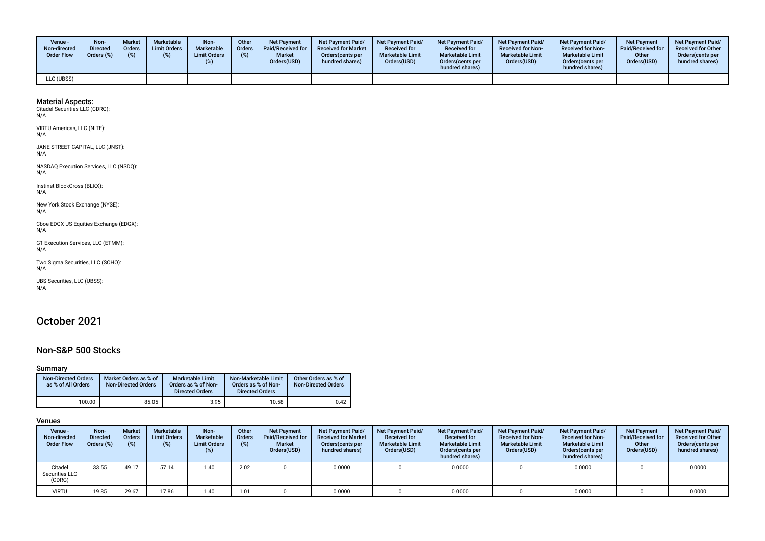| <b>Venue -</b><br>Non-directed<br><b>Order Flow</b> | Non-<br><b>Directed</b><br>Orders (%) | <b>Market</b><br><b>Orders</b><br>(%) | <b>Marketable</b><br><b>Limit Orders</b> | Non-<br>Marketable<br><b>Limit Orders</b> | Other<br>Orders<br>(%) | <b>Net Payment</b><br><b>Paid/Received for</b><br><b>Market</b><br>Orders(USD) | <b>Net Payment Paid/</b><br><b>Received for Market</b><br>Orders (cents per<br>hundred shares) | <b>Net Payment Paid/</b><br><b>Received for</b><br><b>Marketable Limit</b><br>Orders(USD) | <b>Net Payment Paid/</b><br><b>Received for</b><br><b>Marketable Limit</b><br>Orders (cents per<br>hundred shares) | <b>Net Payment Paid/</b><br><b>Received for Non-</b><br><b>Marketable Limit</b><br>Orders(USD) | <b>Net Payment Paid/</b><br><b>Received for Non-</b><br><b>Marketable Limit</b><br>Orders (cents per<br>hundred shares) | Net Payment<br>Paid/Received for<br>Other<br>Orders(USD) | <b>Net Payment Paid/</b><br><b>Received for Other</b><br>Orders(cents per<br>hundred shares) |
|-----------------------------------------------------|---------------------------------------|---------------------------------------|------------------------------------------|-------------------------------------------|------------------------|--------------------------------------------------------------------------------|------------------------------------------------------------------------------------------------|-------------------------------------------------------------------------------------------|--------------------------------------------------------------------------------------------------------------------|------------------------------------------------------------------------------------------------|-------------------------------------------------------------------------------------------------------------------------|----------------------------------------------------------|----------------------------------------------------------------------------------------------|
| LLC (UBSS)                                          |                                       |                                       |                                          |                                           |                        |                                                                                |                                                                                                |                                                                                           |                                                                                                                    |                                                                                                |                                                                                                                         |                                                          |                                                                                              |

VIRTU Americas, LLC (NITE): N/A

JANE STREET CAPITAL, LLC (JNST):  $N/A$ 

NASDAQ Execution Services, LLC (NSDQ): N/A

Instinet BlockCross (BLKX): N/A

New York Stock Exchange (NYSE): N/A

Cboe EDGX US Equities Exchange (EDGX): N/A

G1 Execution Services, LLC (ETMM): N/A

Two Sigma Securities, LLC (SOHO): N/A

UBS Securities, LLC (UBSS): N/A

سامت سامت الما

# October 2021

## Non-S&P 500 Stocks

### Summary

| <b>Non-Directed Orders</b><br>as % of All Orders | Market Orders as % of<br><b>Non-Directed Orders</b> | Marketable Limit<br>Orders as % of Non-<br><b>Directed Orders</b> | Non-Marketable Limit<br>Orders as % of Non-<br><b>Directed Orders</b> | Other Orders as % of<br>Non-Directed Orders |
|--------------------------------------------------|-----------------------------------------------------|-------------------------------------------------------------------|-----------------------------------------------------------------------|---------------------------------------------|
| 100.00                                           | 85.05                                               | 3.95                                                              | 10.58                                                                 | 0.42                                        |

| <b>Venue -</b><br>Non-directed<br><b>Order Flow</b> | Non-<br><b>Directed</b><br>Orders (%) | <b>Market</b><br><b>Orders</b><br>(%) | <b>Marketable</b><br><b>Limit Orders</b><br>$(\%)$ | Non-<br>Marketable<br><b>Limit Orders</b><br>(%) | Other<br>Orders<br>(%) | <b>Net Payment</b><br>Paid/Received for<br><b>Market</b><br>Orders(USD) | <b>Net Payment Paid/</b><br><b>Received for Market</b><br>Orders (cents per<br>hundred shares) | <b>Net Payment Paid/</b><br><b>Received for</b><br><b>Marketable Limit</b><br>Orders(USD) | <b>Net Payment Paid/</b><br><b>Received for</b><br><b>Marketable Limit</b><br>Orders (cents per<br>hundred shares) | Net Payment Paid/<br><b>Received for Non-</b><br><b>Marketable Limit</b><br>Orders(USD) | Net Payment Paid/<br><b>Received for Non-</b><br><b>Marketable Limit</b><br>Orders (cents per<br>hundred shares) | <b>Net Payment</b><br>Paid/Received for<br>Other<br>Orders(USD) | <b>Net Payment Paid/</b><br><b>Received for Other</b><br>Orders(cents per<br>hundred shares) |
|-----------------------------------------------------|---------------------------------------|---------------------------------------|----------------------------------------------------|--------------------------------------------------|------------------------|-------------------------------------------------------------------------|------------------------------------------------------------------------------------------------|-------------------------------------------------------------------------------------------|--------------------------------------------------------------------------------------------------------------------|-----------------------------------------------------------------------------------------|------------------------------------------------------------------------------------------------------------------|-----------------------------------------------------------------|----------------------------------------------------------------------------------------------|
| Citadel<br>Securities LLC<br>(CDRG)                 | 33.55                                 | 49.17                                 | 57.14                                              | 1.40                                             | 2.02                   |                                                                         | 0.0000                                                                                         |                                                                                           | 0.0000                                                                                                             |                                                                                         | 0.0000                                                                                                           |                                                                 | 0.0000                                                                                       |
| <b>VIRTU</b>                                        | 19.85                                 | 29.67                                 | 17.86                                              | 1.40                                             | 1.01                   |                                                                         | 0.0000                                                                                         |                                                                                           | 0.0000                                                                                                             |                                                                                         | 0.0000                                                                                                           |                                                                 | 0.0000                                                                                       |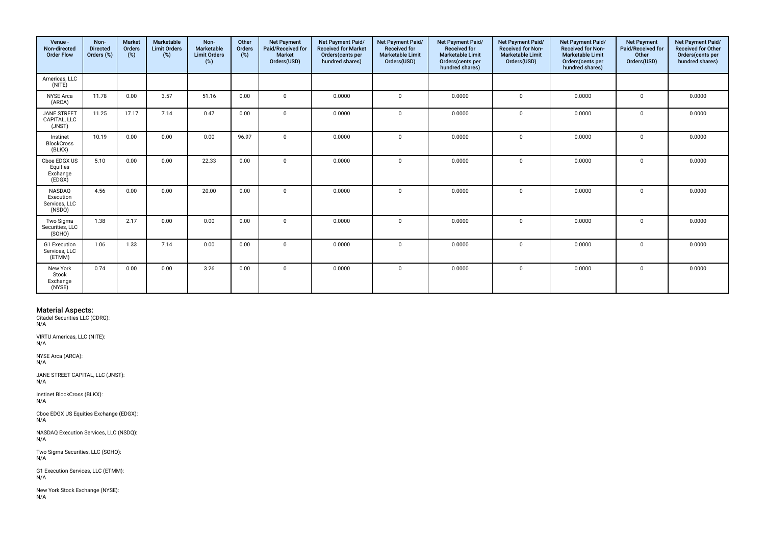| Venue -<br>Non-directed<br><b>Order Flow</b>   | Non-<br><b>Directed</b><br>Orders (%) | <b>Market</b><br>Orders<br>(%) | Marketable<br><b>Limit Orders</b><br>(%) | Non-<br>Marketable<br><b>Limit Orders</b><br>(%) | Other<br>Orders<br>(%) | <b>Net Payment</b><br>Paid/Received for<br><b>Market</b><br>Orders(USD) | Net Payment Paid/<br><b>Received for Market</b><br>Orders(cents per<br>hundred shares) | Net Payment Paid/<br>Received for<br><b>Marketable Limit</b><br>Orders(USD) | Net Payment Paid/<br><b>Received for</b><br><b>Marketable Limit</b><br>Orders(cents per<br>hundred shares) | Net Payment Paid/<br>Received for Non-<br><b>Marketable Limit</b><br>Orders(USD) | Net Payment Paid/<br><b>Received for Non-</b><br><b>Marketable Limit</b><br>Orders(cents per<br>hundred shares) | <b>Net Payment</b><br>Paid/Received for<br>Other<br>Orders(USD) | Net Payment Paid/<br>Received for Other<br>Orders(cents per<br>hundred shares) |
|------------------------------------------------|---------------------------------------|--------------------------------|------------------------------------------|--------------------------------------------------|------------------------|-------------------------------------------------------------------------|----------------------------------------------------------------------------------------|-----------------------------------------------------------------------------|------------------------------------------------------------------------------------------------------------|----------------------------------------------------------------------------------|-----------------------------------------------------------------------------------------------------------------|-----------------------------------------------------------------|--------------------------------------------------------------------------------|
| Americas, LLC<br>(NITE)                        |                                       |                                |                                          |                                                  |                        |                                                                         |                                                                                        |                                                                             |                                                                                                            |                                                                                  |                                                                                                                 |                                                                 |                                                                                |
| <b>NYSE Arca</b><br>(ARCA)                     | 11.78                                 | 0.00                           | 3.57                                     | 51.16                                            | 0.00                   | $\mathbf{0}$                                                            | 0.0000                                                                                 | $\mathbf 0$                                                                 | 0.0000                                                                                                     | $\mathbf 0$                                                                      | 0.0000                                                                                                          | $\mathsf 0$                                                     | 0.0000                                                                         |
| <b>JANE STREET</b><br>CAPITAL, LLC<br>(JNST)   | 11.25                                 | 17.17                          | 7.14                                     | 0.47                                             | 0.00                   | $\Omega$                                                                | 0.0000                                                                                 | $\Omega$                                                                    | 0.0000                                                                                                     | $\mathbf 0$                                                                      | 0.0000                                                                                                          | $\Omega$                                                        | 0.0000                                                                         |
| Instinet<br><b>BlockCross</b><br>(BLKX)        | 10.19                                 | 0.00                           | 0.00                                     | 0.00                                             | 96.97                  | $\mathbf 0$                                                             | 0.0000                                                                                 | $\mathbf{0}$                                                                | 0.0000                                                                                                     | $\mathbf 0$                                                                      | 0.0000                                                                                                          | $\mathbf 0$                                                     | 0.0000                                                                         |
| Cboe EDGX US<br>Equities<br>Exchange<br>(EDGX) | 5.10                                  | 0.00                           | 0.00                                     | 22.33                                            | 0.00                   | $\mathbf 0$                                                             | 0.0000                                                                                 | $\mathbf 0$                                                                 | 0.0000                                                                                                     | $\mathbf 0$                                                                      | 0.0000                                                                                                          | $\mathbf{0}$                                                    | 0.0000                                                                         |
| NASDAQ<br>Execution<br>Services, LLC<br>(NSDQ) | 4.56                                  | 0.00                           | 0.00                                     | 20.00                                            | 0.00                   | $\Omega$                                                                | 0.0000                                                                                 | $\mathbf{0}$                                                                | 0.0000                                                                                                     | $\mathbf 0$                                                                      | 0.0000                                                                                                          | $\mathbf 0$                                                     | 0.0000                                                                         |
| Two Sigma<br>Securities, LLC<br>(SOHO)         | 1.38                                  | 2.17                           | 0.00                                     | 0.00                                             | 0.00                   | $\Omega$                                                                | 0.0000                                                                                 | $\Omega$                                                                    | 0.0000                                                                                                     | $\mathbf 0$                                                                      | 0.0000                                                                                                          | 0                                                               | 0.0000                                                                         |
| G1 Execution<br>Services, LLC<br>(ETMM)        | 1.06                                  | 1.33                           | 7.14                                     | 0.00                                             | 0.00                   | $\Omega$                                                                | 0.0000                                                                                 | $\Omega$                                                                    | 0.0000                                                                                                     | $\Omega$                                                                         | 0.0000                                                                                                          | $\Omega$                                                        | 0.0000                                                                         |
| New York<br>Stock<br>Exchange<br>(NYSE)        | 0.74                                  | 0.00                           | 0.00                                     | 3.26                                             | 0.00                   | $\mathbf{0}$                                                            | 0.0000                                                                                 | $\mathbf 0$                                                                 | 0.0000                                                                                                     | $\mathbf 0$                                                                      | 0.0000                                                                                                          | $\mathbf{0}$                                                    | 0.0000                                                                         |

VIRTU Americas, LLC (NITE): N/A

NYSE Arca (ARCA): N/A

JANE STREET CAPITAL, LLC (JNST): N/A

Instinet BlockCross (BLKX): N/A

Cboe EDGX US Equities Exchange (EDGX): N/A

NASDAQ Execution Services, LLC (NSDQ):  $N/A$ 

Two Sigma Securities, LLC (SOHO): N/A

G1 Execution Services, LLC (ETMM): N/A

New York Stock Exchange (NYSE): N/A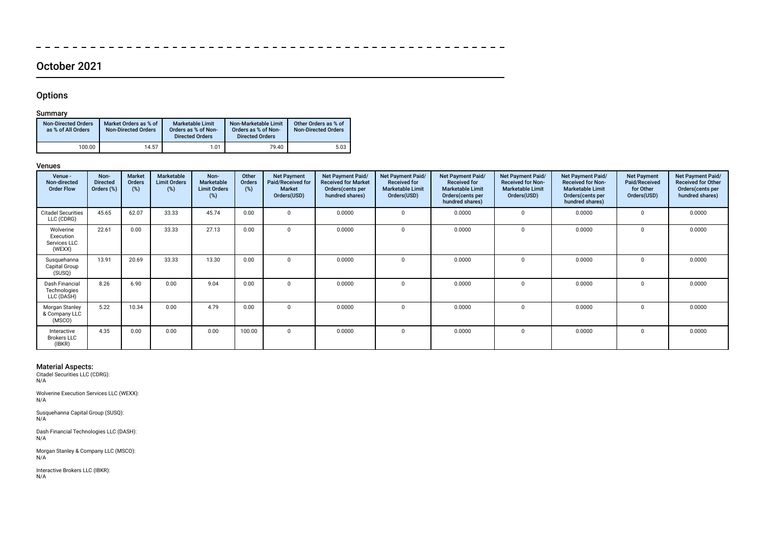# October 2021

 $\overline{\phantom{a}}$ 

 $\overline{\phantom{0}}$  $\sim$ 

## **Options**

 $\overline{\phantom{a}}$ 

## Summary

| <b>Non-Directed Orders</b><br>as % of All Orders | Market Orders as % of<br><b>Non-Directed Orders</b> | <b>Marketable Limit</b><br>Orders as % of Non-<br><b>Directed Orders</b> | Non-Marketable Limit<br>Orders as % of Non-<br><b>Directed Orders</b> | Other Orders as % of<br><b>Non-Directed Orders</b> |
|--------------------------------------------------|-----------------------------------------------------|--------------------------------------------------------------------------|-----------------------------------------------------------------------|----------------------------------------------------|
| 100.00                                           | 14.57                                               | 1.01                                                                     | 79.40                                                                 | 5.03                                               |

### Venues

| Venue -<br>Non-directed<br><b>Order Flow</b>     | Non-<br><b>Directed</b><br>Orders (%) | <b>Market</b><br>Orders<br>(%) | Marketable<br><b>Limit Orders</b><br>(%) | Non-<br>Marketable<br><b>Limit Orders</b><br>(%) | Other<br>Orders<br>$(\%)$ | <b>Net Payment</b><br>Paid/Received for<br><b>Market</b><br>Orders(USD) | Net Payment Paid/<br><b>Received for Market</b><br>Orders(cents per<br>hundred shares) | Net Payment Paid/<br><b>Received for</b><br><b>Marketable Limit</b><br>Orders(USD) | Net Payment Paid/<br><b>Received for</b><br><b>Marketable Limit</b><br>Orders (cents per<br>hundred shares) | Net Payment Paid/<br><b>Received for Non-</b><br><b>Marketable Limit</b><br>Orders(USD) | Net Payment Paid/<br><b>Received for Non-</b><br><b>Marketable Limit</b><br>Orders (cents per<br>hundred shares) | <b>Net Payment</b><br>Paid/Received<br>for Other<br>Orders(USD) | Net Payment Paid/<br><b>Received for Other</b><br>Orders(cents per<br>hundred shares) |
|--------------------------------------------------|---------------------------------------|--------------------------------|------------------------------------------|--------------------------------------------------|---------------------------|-------------------------------------------------------------------------|----------------------------------------------------------------------------------------|------------------------------------------------------------------------------------|-------------------------------------------------------------------------------------------------------------|-----------------------------------------------------------------------------------------|------------------------------------------------------------------------------------------------------------------|-----------------------------------------------------------------|---------------------------------------------------------------------------------------|
| <b>Citadel Securities</b><br>LLC (CDRG)          | 45.65                                 | 62.07                          | 33.33                                    | 45.74                                            | 0.00                      | $\Omega$                                                                | 0.0000                                                                                 | $\Omega$                                                                           | 0.0000                                                                                                      | $\Omega$                                                                                | 0.0000                                                                                                           | $\Omega$                                                        | 0.0000                                                                                |
| Wolverine<br>Execution<br>Services LLC<br>(WEXX) | 22.61                                 | 0.00                           | 33.33                                    | 27.13                                            | 0.00                      | $\Omega$                                                                | 0.0000                                                                                 |                                                                                    | 0.0000                                                                                                      | $\Omega$                                                                                | 0.0000                                                                                                           | 0                                                               | 0.0000                                                                                |
| Susquehanna<br>Capital Group<br>(SUSQ)           | 13.91                                 | 20.69                          | 33.33                                    | 13.30                                            | 0.00                      | $\Omega$                                                                | 0.0000                                                                                 | $\Omega$                                                                           | 0.0000                                                                                                      | 0                                                                                       | 0.0000                                                                                                           | $\mathbf{0}$                                                    | 0.0000                                                                                |
| Dash Financial<br>Technologies<br>LLC (DASH)     | 8.26                                  | 6.90                           | 0.00                                     | 9.04                                             | 0.00                      | $\Omega$                                                                | 0.0000                                                                                 | $\Omega$                                                                           | 0.0000                                                                                                      | $\Omega$                                                                                | 0.0000                                                                                                           | $\Omega$                                                        | 0.0000                                                                                |
| Morgan Stanley<br>& Company LLC<br>(MSCO)        | 5.22                                  | 10.34                          | 0.00                                     | 4.79                                             | 0.00                      | $\Omega$                                                                | 0.0000                                                                                 | $\Omega$                                                                           | 0.0000                                                                                                      | $\Omega$                                                                                | 0.0000                                                                                                           | $\Omega$                                                        | 0.0000                                                                                |
| Interactive<br><b>Brokers LLC</b><br>(IBKR)      | 4.35                                  | 0.00                           | 0.00                                     | 0.00                                             | 100.00                    | $\Omega$                                                                | 0.0000                                                                                 |                                                                                    | 0.0000                                                                                                      | 0                                                                                       | 0.0000                                                                                                           | $\Omega$                                                        | 0.0000                                                                                |

 $\equiv$  $\overline{\phantom{0}}$  $\overline{\phantom{a}}$  $\equiv$   $\overline{\phantom{a}}$ 

 $\overline{\phantom{0}}$  $\equiv$ 

 $- - - - - - -$ 

Material Aspects: Citadel Securities LLC (CDRG): N/A

Wolverine Execution Services LLC (WEXX): N/A

Susquehanna Capital Group (SUSQ): N/A

Dash Financial Technologies LLC (DASH): N/A

Morgan Stanley & Company LLC (MSCO): N/A

Interactive Brokers LLC (IBKR):  $N/A$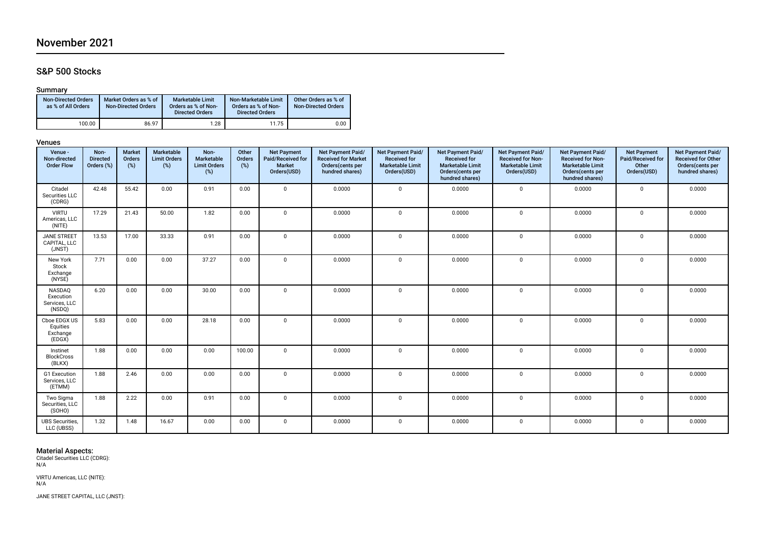# November 2021

## S&P 500 Stocks

## Summary

| <b>Non-Directed Orders</b><br>as % of All Orders | Market Orders as % of<br><b>Non-Directed Orders</b> | <b>Marketable Limit</b><br>Orders as % of Non-<br><b>Directed Orders</b> | Non-Marketable Limit<br>Orders as % of Non-<br><b>Directed Orders</b> | Other Orders as % of<br><b>Non-Directed Orders</b> |
|--------------------------------------------------|-----------------------------------------------------|--------------------------------------------------------------------------|-----------------------------------------------------------------------|----------------------------------------------------|
| 100.00                                           | 86.97                                               | 1.28                                                                     | 11.75                                                                 | 0.00                                               |

### Venues

| Venue -<br>Non-directed<br><b>Order Flow</b>   | Non-<br><b>Directed</b><br>Orders (%) | <b>Market</b><br>Orders<br>(%) | Marketable<br><b>Limit Orders</b><br>$(\%)$ | Non-<br>Marketable<br><b>Limit Orders</b><br>$(\%)$ | Other<br>Orders<br>$(\%)$ | <b>Net Payment</b><br>Paid/Received for<br>Market<br>Orders(USD) | Net Payment Paid/<br><b>Received for Market</b><br>Orders(cents per<br>hundred shares) | Net Payment Paid/<br>Received for<br><b>Marketable Limit</b><br>Orders(USD) | Net Payment Paid/<br>Received for<br><b>Marketable Limit</b><br>Orders(cents per<br>hundred shares) | Net Payment Paid/<br><b>Received for Non-</b><br><b>Marketable Limit</b><br>Orders(USD) | Net Payment Paid/<br><b>Received for Non-</b><br><b>Marketable Limit</b><br>Orders(cents per<br>hundred shares) | <b>Net Payment</b><br>Paid/Received for<br>Other<br>Orders(USD) | Net Payment Paid/<br>Received for Other<br>Orders(cents per<br>hundred shares) |
|------------------------------------------------|---------------------------------------|--------------------------------|---------------------------------------------|-----------------------------------------------------|---------------------------|------------------------------------------------------------------|----------------------------------------------------------------------------------------|-----------------------------------------------------------------------------|-----------------------------------------------------------------------------------------------------|-----------------------------------------------------------------------------------------|-----------------------------------------------------------------------------------------------------------------|-----------------------------------------------------------------|--------------------------------------------------------------------------------|
| Citadel<br>Securities LLC<br>(CDRG)            | 42.48                                 | 55.42                          | 0.00                                        | 0.91                                                | 0.00                      | $\Omega$                                                         | 0.0000                                                                                 | $\mathbf 0$                                                                 | 0.0000                                                                                              | $\mathbf 0$                                                                             | 0.0000                                                                                                          | $\mathbf{0}$                                                    | 0.0000                                                                         |
| <b>VIRTU</b><br>Americas, LLC<br>(NITE)        | 17.29                                 | 21.43                          | 50.00                                       | 1.82                                                | 0.00                      | $\mathbf 0$                                                      | 0.0000                                                                                 | $\mathbf 0$                                                                 | 0.0000                                                                                              | $\mathbf 0$                                                                             | 0.0000                                                                                                          | $\mathbf 0$                                                     | 0.0000                                                                         |
| <b>JANE STREET</b><br>CAPITAL, LLC<br>(JNST)   | 13.53                                 | 17.00                          | 33.33                                       | 0.91                                                | 0.00                      | $\mathbf{0}$                                                     | 0.0000                                                                                 | $\mathbf{0}$                                                                | 0.0000                                                                                              | $\mathbf{0}$                                                                            | 0.0000                                                                                                          | $\mathbf{0}$                                                    | 0.0000                                                                         |
| New York<br>Stock<br>Exchange<br>(NYSE)        | 7.71                                  | 0.00                           | 0.00                                        | 37.27                                               | 0.00                      | $\mathbf 0$                                                      | 0.0000                                                                                 | $\mathbf 0$                                                                 | 0.0000                                                                                              | $\mathbf{0}$                                                                            | 0.0000                                                                                                          | $\mathbf{0}$                                                    | 0.0000                                                                         |
| NASDAQ<br>Execution<br>Services, LLC<br>(NSDQ) | 6.20                                  | 0.00                           | 0.00                                        | 30.00                                               | 0.00                      | $\Omega$                                                         | 0.0000                                                                                 | $\mathbf 0$                                                                 | 0.0000                                                                                              | $\mathbf 0$                                                                             | 0.0000                                                                                                          | $\mathsf{O}$                                                    | 0.0000                                                                         |
| Cboe EDGX US<br>Equities<br>Exchange<br>(EDGX) | 5.83                                  | 0.00                           | 0.00                                        | 28.18                                               | 0.00                      | $\Omega$                                                         | 0.0000                                                                                 | $\mathbf{0}$                                                                | 0.0000                                                                                              | $\mathbf 0$                                                                             | 0.0000                                                                                                          | $\mathbf 0$                                                     | 0.0000                                                                         |
| Instinet<br><b>BlockCross</b><br>(BLKX)        | 1.88                                  | 0.00                           | 0.00                                        | 0.00                                                | 100.00                    | $\Omega$                                                         | 0.0000                                                                                 | $\mathbf 0$                                                                 | 0.0000                                                                                              | $\mathbf 0$                                                                             | 0.0000                                                                                                          | $\mathbf 0$                                                     | 0.0000                                                                         |
| G1 Execution<br>Services, LLC<br>(ETMM)        | 1.88                                  | 2.46                           | 0.00                                        | 0.00                                                | 0.00                      | $\Omega$                                                         | 0.0000                                                                                 | $\mathbf 0$                                                                 | 0.0000                                                                                              | $\mathbf{0}$                                                                            | 0.0000                                                                                                          | $\mathbf 0$                                                     | 0.0000                                                                         |
| Two Sigma<br>Securities, LLC<br>(SOHO)         | 1.88                                  | 2.22                           | 0.00                                        | 0.91                                                | 0.00                      | $\Omega$                                                         | 0.0000                                                                                 | $\mathbf{0}$                                                                | 0.0000                                                                                              | $\mathbf{0}$                                                                            | 0.0000                                                                                                          | $\mathbf 0$                                                     | 0.0000                                                                         |
| <b>UBS</b> Securities,<br>LLC (UBSS)           | 1.32                                  | 1.48                           | 16.67                                       | 0.00                                                | 0.00                      | $\mathbf 0$                                                      | 0.0000                                                                                 | 0                                                                           | 0.0000                                                                                              | $\mathbf 0$                                                                             | 0.0000                                                                                                          | 0                                                               | 0.0000                                                                         |

Material Aspects: Citadel Securities LLC (CDRG): N/A

VIRTU Americas, LLC (NITE): N/A

JANE STREET CAPITAL, LLC (JNST):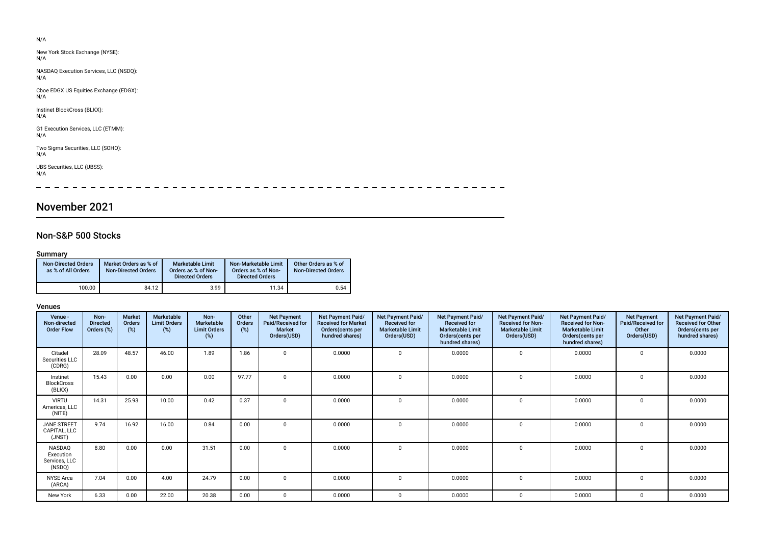| N/A                                           |  |  |
|-----------------------------------------------|--|--|
| New York Stock Exchange (NYSE):<br>N/A        |  |  |
| NASDAQ Execution Services, LLC (NSDQ):<br>N/A |  |  |
| Cboe EDGX US Equities Exchange (EDGX):<br>N/A |  |  |
| Instinet BlockCross (BLKX):<br>N/A            |  |  |
| G1 Execution Services, LLC (ETMM):<br>N/A     |  |  |
| Two Sigma Securities, LLC (SOHO):<br>N/A      |  |  |
| UBS Securities, LLC (UBSS):<br>N/A            |  |  |
|                                               |  |  |

# November 2021

## Non-S&P 500 Stocks

## Summary

| <b>Non-Directed Orders</b><br>as % of All Orders | Market Orders as % of<br><b>Non-Directed Orders</b> | <b>Marketable Limit</b><br>Orders as % of Non-<br><b>Directed Orders</b> | Non-Marketable Limit<br>Orders as % of Non-<br><b>Directed Orders</b> | Other Orders as % of<br><b>Non-Directed Orders</b> |
|--------------------------------------------------|-----------------------------------------------------|--------------------------------------------------------------------------|-----------------------------------------------------------------------|----------------------------------------------------|
| 100.00                                           | 84.12                                               | 3.99                                                                     | 11.34                                                                 | 0.54                                               |

| Venue -<br>Non-directed<br><b>Order Flow</b>   | Non-<br><b>Directed</b><br>Orders (%) | <b>Market</b><br>Orders<br>(%) | Marketable<br><b>Limit Orders</b><br>(%) | Non-<br>Marketable<br><b>Limit Orders</b><br>(%) | Other<br>Orders<br>(%) | <b>Net Payment</b><br>Paid/Received for<br><b>Market</b><br>Orders(USD) | <b>Net Payment Paid/</b><br><b>Received for Market</b><br>Orders (cents per<br>hundred shares) | Net Payment Paid/<br><b>Received for</b><br><b>Marketable Limit</b><br>Orders(USD) | <b>Net Payment Paid/</b><br><b>Received for</b><br><b>Marketable Limit</b><br>Orders(cents per<br>hundred shares) | <b>Net Payment Paid/</b><br><b>Received for Non-</b><br><b>Marketable Limit</b><br>Orders(USD) | Net Payment Paid/<br><b>Received for Non-</b><br><b>Marketable Limit</b><br>Orders(cents per<br>hundred shares) | <b>Net Payment</b><br>Paid/Received for<br>Other<br>Orders(USD) | Net Payment Paid/<br><b>Received for Other</b><br>Orders(cents per<br>hundred shares) |
|------------------------------------------------|---------------------------------------|--------------------------------|------------------------------------------|--------------------------------------------------|------------------------|-------------------------------------------------------------------------|------------------------------------------------------------------------------------------------|------------------------------------------------------------------------------------|-------------------------------------------------------------------------------------------------------------------|------------------------------------------------------------------------------------------------|-----------------------------------------------------------------------------------------------------------------|-----------------------------------------------------------------|---------------------------------------------------------------------------------------|
| Citadel<br>Securities LLC<br>(CDRG)            | 28.09                                 | 48.57                          | 46.00                                    | 1.89                                             | 1.86                   | $\Omega$                                                                | 0.0000                                                                                         |                                                                                    | 0.0000                                                                                                            | $\mathbf 0$                                                                                    | 0.0000                                                                                                          | $\Omega$                                                        | 0.0000                                                                                |
| Instinet<br><b>BlockCross</b><br>(BLKX)        | 15.43                                 | 0.00                           | 0.00                                     | 0.00                                             | 97.77                  | $\Omega$                                                                | 0.0000                                                                                         |                                                                                    | 0.0000                                                                                                            | 0                                                                                              | 0.0000                                                                                                          | 0                                                               | 0.0000                                                                                |
| <b>VIRTU</b><br>Americas, LLC<br>(NITE)        | 14.31                                 | 25.93                          | 10.00                                    | 0.42                                             | 0.37                   | $\Omega$                                                                | 0.0000                                                                                         | $\Omega$                                                                           | 0.0000                                                                                                            | $\mathbf 0$                                                                                    | 0.0000                                                                                                          | $\Omega$                                                        | 0.0000                                                                                |
| <b>JANE STREET</b><br>CAPITAL, LLC<br>(JNST)   | 9.74                                  | 16.92                          | 16.00                                    | 0.84                                             | 0.00                   | $\Omega$                                                                | 0.0000                                                                                         |                                                                                    | 0.0000                                                                                                            | $\Omega$                                                                                       | 0.0000                                                                                                          | $\Omega$                                                        | 0.0000                                                                                |
| NASDAQ<br>Execution<br>Services, LLC<br>(NSDQ) | 8.80                                  | 0.00                           | 0.00                                     | 31.51                                            | 0.00                   | $\Omega$                                                                | 0.0000                                                                                         |                                                                                    | 0.0000                                                                                                            | 0                                                                                              | 0.0000                                                                                                          | 0                                                               | 0.0000                                                                                |
| <b>NYSE Arca</b><br>(ARCA)                     | 7.04                                  | 0.00                           | 4.00                                     | 24.79                                            | 0.00                   | $^{\circ}$                                                              | 0.0000                                                                                         |                                                                                    | 0.0000                                                                                                            | 0                                                                                              | 0.0000                                                                                                          | 0                                                               | 0.0000                                                                                |
| New York                                       | 6.33                                  | 0.00                           | 22.00                                    | 20.38                                            | 0.00                   | $\Omega$                                                                | 0.0000                                                                                         | 0                                                                                  | 0.0000                                                                                                            | $^{\circ}$                                                                                     | 0.0000                                                                                                          | 0                                                               | 0.0000                                                                                |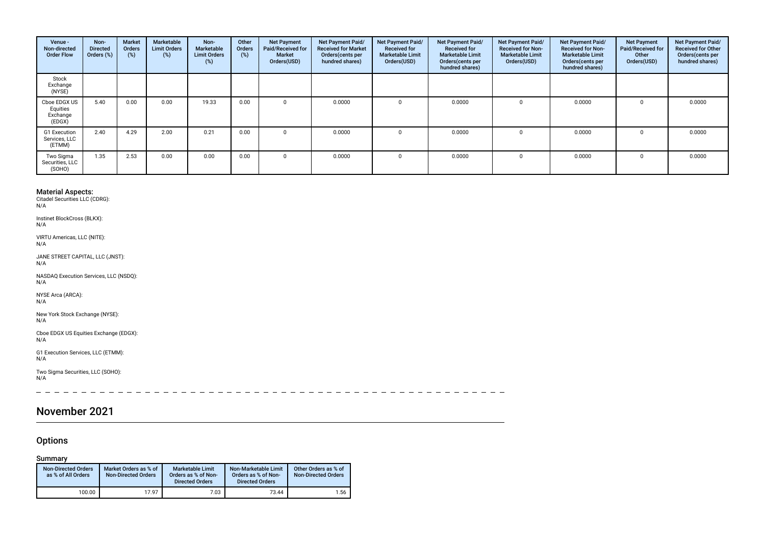| Venue -<br>Non-directed<br><b>Order Flow</b>   | Non-<br><b>Directed</b><br>Orders (%) | <b>Market</b><br><b>Orders</b><br>(%) | Marketable<br><b>Limit Orders</b><br>$(\%)$ | Non-<br>Marketable<br><b>Limit Orders</b><br>$(\% )$ | Other<br>Orders<br>(%) | <b>Net Payment</b><br>Paid/Received for<br><b>Market</b><br>Orders(USD) | <b>Net Payment Paid/</b><br><b>Received for Market</b><br>Orders (cents per<br>hundred shares) | Net Payment Paid/<br><b>Received for</b><br><b>Marketable Limit</b><br>Orders(USD) | Net Payment Paid/<br><b>Received for</b><br><b>Marketable Limit</b><br>Orders (cents per<br>hundred shares) | Net Payment Paid/<br><b>Received for Non-</b><br><b>Marketable Limit</b><br>Orders(USD) | <b>Net Payment Paid/</b><br><b>Received for Non-</b><br><b>Marketable Limit</b><br>Orders (cents per<br>hundred shares) | <b>Net Payment</b><br>Paid/Received for<br>Other<br>Orders(USD) | Net Payment Paid/<br><b>Received for Other</b><br>Orders(cents per<br>hundred shares) |
|------------------------------------------------|---------------------------------------|---------------------------------------|---------------------------------------------|------------------------------------------------------|------------------------|-------------------------------------------------------------------------|------------------------------------------------------------------------------------------------|------------------------------------------------------------------------------------|-------------------------------------------------------------------------------------------------------------|-----------------------------------------------------------------------------------------|-------------------------------------------------------------------------------------------------------------------------|-----------------------------------------------------------------|---------------------------------------------------------------------------------------|
| Stock<br>Exchange<br>(NYSE)                    |                                       |                                       |                                             |                                                      |                        |                                                                         |                                                                                                |                                                                                    |                                                                                                             |                                                                                         |                                                                                                                         |                                                                 |                                                                                       |
| Cboe EDGX US<br>Equities<br>Exchange<br>(EDGX) | 5.40                                  | 0.00                                  | 0.00                                        | 19.33                                                | 0.00                   |                                                                         | 0.0000                                                                                         |                                                                                    | 0.0000                                                                                                      |                                                                                         | 0.0000                                                                                                                  |                                                                 | 0.0000                                                                                |
| G1 Execution<br>Services, LLC<br>(ETMM)        | 2.40                                  | 4.29                                  | 2.00                                        | 0.21                                                 | 0.00                   |                                                                         | 0.0000                                                                                         |                                                                                    | 0.0000                                                                                                      |                                                                                         | 0.0000                                                                                                                  |                                                                 | 0.0000                                                                                |
| Two Sigma<br>Securities, LLC<br>(SOHO)         | 1.35                                  | 2.53                                  | 0.00                                        | 0.00                                                 | 0.00                   |                                                                         | 0.0000                                                                                         | $\Omega$                                                                           | 0.0000                                                                                                      | $\Omega$                                                                                | 0.0000                                                                                                                  |                                                                 | 0.0000                                                                                |

Instinet BlockCross (BLKX): N/A

VIRTU Americas, LLC (NITE): N/A

JANE STREET CAPITAL, LLC (JNST): N/A

NASDAQ Execution Services, LLC (NSDQ):  $N/A$ 

NYSE Arca (ARCA): N/A

New York Stock Exchange (NYSE): N/A

Cboe EDGX US Equities Exchange (EDGX):  $N/A$ 

G1 Execution Services, LLC (ETMM): N/A

Two Sigma Securities, LLC (SOHO): N/A

 $\sim$   $\sim$ 

# November 2021

## **Options**

## Summary

| <b>Non-Directed Orders</b><br>as % of All Orders | Market Orders as % of<br><b>Non-Directed Orders</b> | <b>Marketable Limit</b><br>Orders as % of Non-<br><b>Directed Orders</b> | Non-Marketable Limit<br>Orders as % of Non-<br><b>Directed Orders</b> | Other Orders as % of<br><b>Non-Directed Orders</b> |
|--------------------------------------------------|-----------------------------------------------------|--------------------------------------------------------------------------|-----------------------------------------------------------------------|----------------------------------------------------|
| 100.00                                           | 17.97                                               | 7.03                                                                     | 73.44                                                                 | 1.56                                               |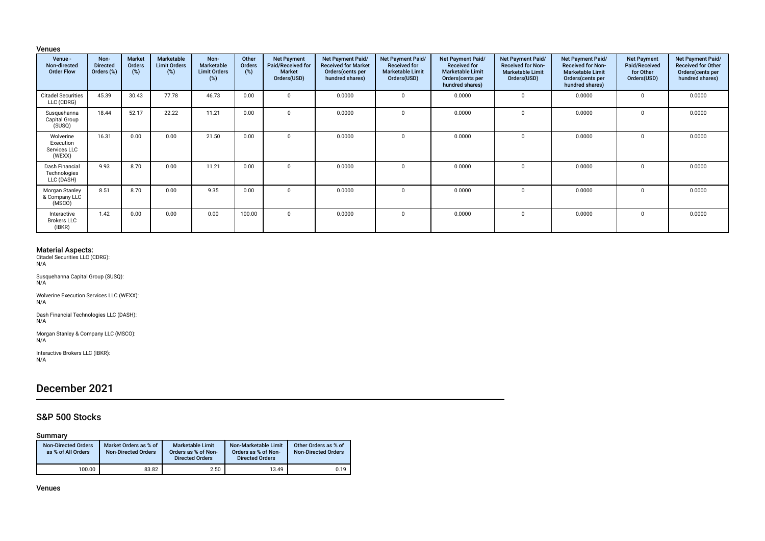### Venues

| Venue -<br>Non-directed<br><b>Order Flow</b>     | Non-<br><b>Directed</b><br>Orders (%) | Market<br><b>Orders</b><br>(%) | Marketable<br><b>Limit Orders</b><br>(%) | Non-<br>Marketable<br><b>Limit Orders</b><br>(% ) | Other<br>Orders<br>$(\%)$ | <b>Net Payment</b><br>Paid/Received for<br><b>Market</b><br>Orders(USD) | <b>Net Payment Paid/</b><br><b>Received for Market</b><br>Orders (cents per<br>hundred shares) | Net Payment Paid/<br><b>Received for</b><br><b>Marketable Limit</b><br>Orders(USD) | Net Payment Paid/<br><b>Received for</b><br><b>Marketable Limit</b><br>Orders(cents per<br>hundred shares) | <b>Net Payment Paid/</b><br><b>Received for Non-</b><br><b>Marketable Limit</b><br>Orders(USD) | Net Payment Paid/<br><b>Received for Non-</b><br><b>Marketable Limit</b><br>Orders (cents per<br>hundred shares) | <b>Net Payment</b><br>Paid/Received<br>for Other<br>Orders(USD) | Net Payment Paid/<br><b>Received for Other</b><br>Orders (cents per<br>hundred shares) |
|--------------------------------------------------|---------------------------------------|--------------------------------|------------------------------------------|---------------------------------------------------|---------------------------|-------------------------------------------------------------------------|------------------------------------------------------------------------------------------------|------------------------------------------------------------------------------------|------------------------------------------------------------------------------------------------------------|------------------------------------------------------------------------------------------------|------------------------------------------------------------------------------------------------------------------|-----------------------------------------------------------------|----------------------------------------------------------------------------------------|
| <b>Citadel Securities</b><br>LLC (CDRG)          | 45.39                                 | 30.43                          | 77.78                                    | 46.73                                             | 0.00                      | $\Omega$                                                                | 0.0000                                                                                         | $\Omega$                                                                           | 0.0000                                                                                                     |                                                                                                | 0.0000                                                                                                           | $\Omega$                                                        | 0.0000                                                                                 |
| Susquehanna<br>Capital Group<br>(SUSQ)           | 18.44                                 | 52.17                          | 22.22                                    | 11.21                                             | 0.00                      | $\Omega$                                                                | 0.0000                                                                                         | $\Omega$                                                                           | 0.0000                                                                                                     |                                                                                                | 0.0000                                                                                                           | $\Omega$                                                        | 0.0000                                                                                 |
| Wolverine<br>Execution<br>Services LLC<br>(WEXX) | 16.31                                 | 0.00                           | 0.00                                     | 21.50                                             | 0.00                      |                                                                         | 0.0000                                                                                         | $\Omega$                                                                           | 0.0000                                                                                                     |                                                                                                | 0.0000                                                                                                           | $\Omega$                                                        | 0.0000                                                                                 |
| Dash Financial<br>Technologies<br>LLC (DASH)     | 9.93                                  | 8.70                           | 0.00                                     | 11.21                                             | 0.00                      | $\Omega$                                                                | 0.0000                                                                                         | $\Omega$                                                                           | 0.0000                                                                                                     |                                                                                                | 0.0000                                                                                                           | $\Omega$                                                        | 0.0000                                                                                 |
| Morgan Stanley<br>& Company LLC<br>(MSCO)        | 8.51                                  | 8.70                           | 0.00                                     | 9.35                                              | 0.00                      | $\Omega$                                                                | 0.0000                                                                                         | $\Omega$                                                                           | 0.0000                                                                                                     |                                                                                                | 0.0000                                                                                                           | $\Omega$                                                        | 0.0000                                                                                 |
| Interactive<br><b>Brokers LLC</b><br>(IBKR)      | 1.42                                  | 0.00                           | 0.00                                     | 0.00                                              | 100.00                    | $\Omega$                                                                | 0.0000                                                                                         | $\Omega$                                                                           | 0.0000                                                                                                     |                                                                                                | 0.0000                                                                                                           | $\Omega$                                                        | 0.0000                                                                                 |

Material Aspects: Citadel Securities LLC (CDRG): N/A

Susquehanna Capital Group (SUSQ): N/A

Wolverine Execution Services LLC (WEXX): N/A

Dash Financial Technologies LLC (DASH): N/A

Morgan Stanley & Company LLC (MSCO): N/A

Interactive Brokers LLC (IBKR): N/A

# December 2021

## S&P 500 Stocks

### Summary

| <b>Non-Directed Orders</b><br>as % of All Orders | Market Orders as % of<br><b>Non-Directed Orders</b> | Marketable Limit<br>Orders as % of Non-<br><b>Directed Orders</b> | Non-Marketable Limit<br>Orders as % of Non-<br><b>Directed Orders</b> | Other Orders as % of<br><b>Non-Directed Orders</b> |
|--------------------------------------------------|-----------------------------------------------------|-------------------------------------------------------------------|-----------------------------------------------------------------------|----------------------------------------------------|
| 100.00                                           | 83.82                                               | 2.50                                                              | 13.49                                                                 | 0.19                                               |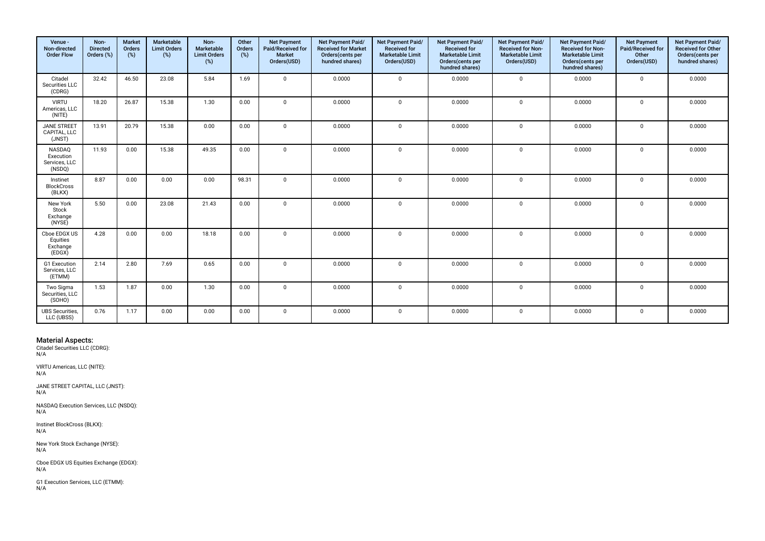| Venue -<br>Non-directed<br><b>Order Flow</b>   | Non-<br><b>Directed</b><br>Orders (%) | <b>Market</b><br>Orders<br>(%) | Marketable<br><b>Limit Orders</b><br>(%) | Non-<br>Marketable<br><b>Limit Orders</b><br>(%) | Other<br>Orders<br>$(\%)$ | <b>Net Payment</b><br>Paid/Received for<br><b>Market</b><br>Orders(USD) | Net Payment Paid/<br><b>Received for Market</b><br>Orders(cents per<br>hundred shares) | Net Payment Paid/<br><b>Received for</b><br><b>Marketable Limit</b><br>Orders(USD) | Net Payment Paid/<br><b>Received for</b><br><b>Marketable Limit</b><br>Orders(cents per<br>hundred shares) | Net Payment Paid/<br><b>Received for Non-</b><br><b>Marketable Limit</b><br>Orders(USD) | <b>Net Payment Paid/</b><br><b>Received for Non-</b><br><b>Marketable Limit</b><br>Orders(cents per<br>hundred shares) | <b>Net Payment</b><br>Paid/Received for<br>Other<br>Orders(USD) | Net Payment Paid/<br><b>Received for Other</b><br>Orders(cents per<br>hundred shares) |
|------------------------------------------------|---------------------------------------|--------------------------------|------------------------------------------|--------------------------------------------------|---------------------------|-------------------------------------------------------------------------|----------------------------------------------------------------------------------------|------------------------------------------------------------------------------------|------------------------------------------------------------------------------------------------------------|-----------------------------------------------------------------------------------------|------------------------------------------------------------------------------------------------------------------------|-----------------------------------------------------------------|---------------------------------------------------------------------------------------|
| Citadel<br>Securities LLC<br>(CDRG)            | 32.42                                 | 46.50                          | 23.08                                    | 5.84                                             | 1.69                      | $\Omega$                                                                | 0.0000                                                                                 | $\mathbf 0$                                                                        | 0.0000                                                                                                     | $\mathbf{0}$                                                                            | 0.0000                                                                                                                 | $\mathbf 0$                                                     | 0.0000                                                                                |
| <b>VIRTU</b><br>Americas, LLC<br>(NITE)        | 18.20                                 | 26.87                          | 15.38                                    | 1.30                                             | 0.00                      | $\Omega$                                                                | 0.0000                                                                                 | $\mathbf 0$                                                                        | 0.0000                                                                                                     | $\mathbf 0$                                                                             | 0.0000                                                                                                                 | $\mathbf 0$                                                     | 0.0000                                                                                |
| <b>JANE STREET</b><br>CAPITAL, LLC<br>(JNST)   | 13.91                                 | 20.79                          | 15.38                                    | 0.00                                             | 0.00                      | $\mathbf 0$                                                             | 0.0000                                                                                 | $\mathbf 0$                                                                        | 0.0000                                                                                                     | $\mathbf 0$                                                                             | 0.0000                                                                                                                 | $\mathbf 0$                                                     | 0.0000                                                                                |
| NASDAQ<br>Execution<br>Services, LLC<br>(NSDQ) | 11.93                                 | 0.00                           | 15.38                                    | 49.35                                            | 0.00                      | $\mathbf{0}$                                                            | 0.0000                                                                                 | $\mathbf 0$                                                                        | 0.0000                                                                                                     | $\mathbf 0$                                                                             | 0.0000                                                                                                                 | $\mathbf 0$                                                     | 0.0000                                                                                |
| Instinet<br><b>BlockCross</b><br>(BLKX)        | 8.87                                  | 0.00                           | 0.00                                     | 0.00                                             | 98.31                     | $\mathbf 0$                                                             | 0.0000                                                                                 | $\mathbf{0}$                                                                       | 0.0000                                                                                                     | $\mathbf 0$                                                                             | 0.0000                                                                                                                 | $\mathbf 0$                                                     | 0.0000                                                                                |
| New York<br>Stock<br>Exchange<br>(NYSE)        | 5.50                                  | 0.00                           | 23.08                                    | 21.43                                            | 0.00                      | $\mathbf{0}$                                                            | 0.0000                                                                                 | $\mathbf 0$                                                                        | 0.0000                                                                                                     | $\mathbf 0$                                                                             | 0.0000                                                                                                                 | $\mathbf 0$                                                     | 0.0000                                                                                |
| Cboe EDGX US<br>Equities<br>Exchange<br>(EDGX) | 4.28                                  | 0.00                           | 0.00                                     | 18.18                                            | 0.00                      | $\mathbf 0$                                                             | 0.0000                                                                                 | $\mathbf{0}$                                                                       | 0.0000                                                                                                     | $\mathbf 0$                                                                             | 0.0000                                                                                                                 | $\mathsf 0$                                                     | 0.0000                                                                                |
| G1 Execution<br>Services, LLC<br>(ETMM)        | 2.14                                  | 2.80                           | 7.69                                     | 0.65                                             | 0.00                      | $\Omega$                                                                | 0.0000                                                                                 | $\mathbf 0$                                                                        | 0.0000                                                                                                     | $\mathbf 0$                                                                             | 0.0000                                                                                                                 | $\Omega$                                                        | 0.0000                                                                                |
| Two Sigma<br>Securities, LLC<br>(SOHO)         | 1.53                                  | 1.87                           | 0.00                                     | 1.30                                             | 0.00                      | $\mathbf{0}$                                                            | 0.0000                                                                                 | $\mathbf 0$                                                                        | 0.0000                                                                                                     | $\mathbf 0$                                                                             | 0.0000                                                                                                                 | $\mathbf 0$                                                     | 0.0000                                                                                |
| <b>UBS</b> Securities,<br>LLC (UBSS)           | 0.76                                  | 1.17                           | 0.00                                     | 0.00                                             | 0.00                      | $\mathbf{0}$                                                            | 0.0000                                                                                 | $\mathbf 0$                                                                        | 0.0000                                                                                                     | $\mathbf 0$                                                                             | 0.0000                                                                                                                 | $\mathbf 0$                                                     | 0.0000                                                                                |

VIRTU Americas, LLC (NITE): N/A

JANE STREET CAPITAL, LLC (JNST): N/A

NASDAQ Execution Services, LLC (NSDQ): N/A

Instinet BlockCross (BLKX): N/A

New York Stock Exchange (NYSE):  $N/A$ 

Cboe EDGX US Equities Exchange (EDGX): N/A

G1 Execution Services, LLC (ETMM): N/A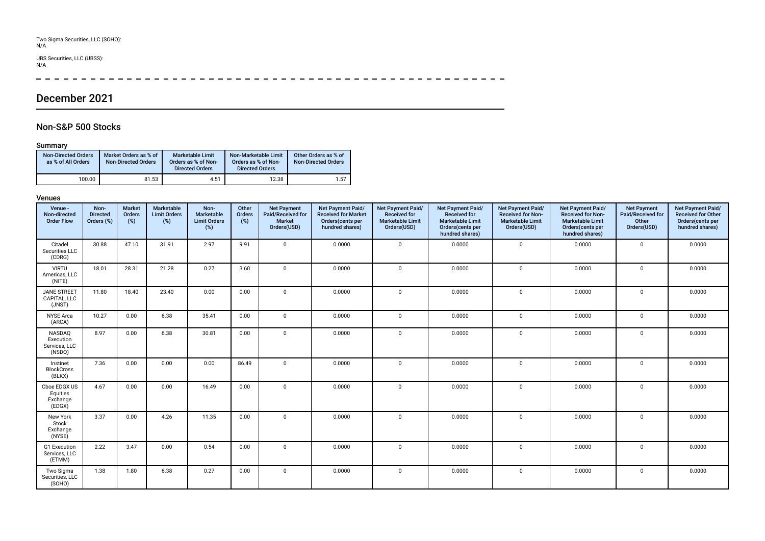# Two Sigma Securities, LLC (SOHO): N/A

# UBS Securities, LLC (UBSS): N/A

 $\overline{\phantom{a}}$ ---------

# December 2021

## Non-S&P 500 Stocks

### Summary

| <b>Non-Directed Orders</b><br>as % of All Orders | Market Orders as % of<br><b>Non-Directed Orders</b> | <b>Marketable Limit</b><br>Orders as % of Non-<br><b>Directed Orders</b> | Non-Marketable Limit<br>Orders as % of Non-<br><b>Directed Orders</b> | Other Orders as % of<br><b>Non-Directed Orders</b> |
|--------------------------------------------------|-----------------------------------------------------|--------------------------------------------------------------------------|-----------------------------------------------------------------------|----------------------------------------------------|
| 100.00                                           | 81.53                                               | 4.51                                                                     | 12.38                                                                 | 1.57                                               |

| Venue -<br>Non-directed<br><b>Order Flow</b>   | Non-<br><b>Directed</b><br>Orders (%) | <b>Market</b><br>Orders<br>(%) | Marketable<br><b>Limit Orders</b><br>$(\%)$ | Non-<br>Marketable<br><b>Limit Orders</b><br>$(\%)$ | Other<br>Orders<br>(%) | <b>Net Payment</b><br>Paid/Received for<br><b>Market</b><br>Orders(USD) | Net Payment Paid/<br><b>Received for Market</b><br>Orders(cents per<br>hundred shares) | Net Payment Paid/<br><b>Received for</b><br><b>Marketable Limit</b><br>Orders(USD) | Net Payment Paid/<br><b>Received for</b><br><b>Marketable Limit</b><br>Orders(cents per<br>hundred shares) | Net Payment Paid/<br>Received for Non-<br><b>Marketable Limit</b><br>Orders(USD) | Net Payment Paid/<br><b>Received for Non-</b><br><b>Marketable Limit</b><br>Orders(cents per<br>hundred shares) | <b>Net Payment</b><br>Paid/Received for<br>Other<br>Orders(USD) | Net Payment Paid/<br>Received for Other<br>Orders(cents per<br>hundred shares) |
|------------------------------------------------|---------------------------------------|--------------------------------|---------------------------------------------|-----------------------------------------------------|------------------------|-------------------------------------------------------------------------|----------------------------------------------------------------------------------------|------------------------------------------------------------------------------------|------------------------------------------------------------------------------------------------------------|----------------------------------------------------------------------------------|-----------------------------------------------------------------------------------------------------------------|-----------------------------------------------------------------|--------------------------------------------------------------------------------|
| Citadel<br>Securities LLC<br>(CDRG)            | 30.88                                 | 47.10                          | 31.91                                       | 2.97                                                | 9.91                   | $\Omega$                                                                | 0.0000                                                                                 | $\mathbf 0$                                                                        | 0.0000                                                                                                     | $\mathbf 0$                                                                      | 0.0000                                                                                                          | $\mathbf{0}$                                                    | 0.0000                                                                         |
| <b>VIRTU</b><br>Americas, LLC<br>(NITE)        | 18.01                                 | 28.31                          | 21.28                                       | 0.27                                                | 3.60                   | $\Omega$                                                                | 0.0000                                                                                 | $\mathbf 0$                                                                        | 0.0000                                                                                                     | $\mathbf 0$                                                                      | 0.0000                                                                                                          | $\mathbf 0$                                                     | 0.0000                                                                         |
| <b>JANE STREET</b><br>CAPITAL, LLC<br>(JNST)   | 11.80                                 | 18.40                          | 23.40                                       | 0.00                                                | 0.00                   | $\Omega$                                                                | 0.0000                                                                                 | $\mathbf{0}$                                                                       | 0.0000                                                                                                     | $\mathbf 0$                                                                      | 0.0000                                                                                                          | $\mathbf 0$                                                     | 0.0000                                                                         |
| <b>NYSE Arca</b><br>(ARCA)                     | 10.27                                 | 0.00                           | 6.38                                        | 35.41                                               | 0.00                   | $\Omega$                                                                | 0.0000                                                                                 | $\mathsf{O}$                                                                       | 0.0000                                                                                                     | $\mathbf 0$                                                                      | 0.0000                                                                                                          | 0                                                               | 0.0000                                                                         |
| NASDAQ<br>Execution<br>Services, LLC<br>(NSDQ) | 8.97                                  | 0.00                           | 6.38                                        | 30.81                                               | 0.00                   | $\mathbf{0}$                                                            | 0.0000                                                                                 | $\mathbf 0$                                                                        | 0.0000                                                                                                     | $\mathbf 0$                                                                      | 0.0000                                                                                                          | $\mathbf 0$                                                     | 0.0000                                                                         |
| Instinet<br><b>BlockCross</b><br>(BLKX)        | 7.36                                  | 0.00                           | 0.00                                        | 0.00                                                | 86.49                  | $\Omega$                                                                | 0.0000                                                                                 | $\mathbf 0$                                                                        | 0.0000                                                                                                     | $\mathbf 0$                                                                      | 0.0000                                                                                                          | $\mathbf 0$                                                     | 0.0000                                                                         |
| Cboe EDGX US<br>Equities<br>Exchange<br>(EDGX) | 4.67                                  | 0.00                           | 0.00                                        | 16.49                                               | 0.00                   | $\mathbf{0}$                                                            | 0.0000                                                                                 | $\mathbf 0$                                                                        | 0.0000                                                                                                     | $\mathbf 0$                                                                      | 0.0000                                                                                                          | $\mathbf 0$                                                     | 0.0000                                                                         |
| New York<br>Stock<br>Exchange<br>(NYSE)        | 3.37                                  | 0.00                           | 4.26                                        | 11.35                                               | 0.00                   | $\Omega$                                                                | 0.0000                                                                                 | $\mathbf{0}$                                                                       | 0.0000                                                                                                     | $\mathbf 0$                                                                      | 0.0000                                                                                                          | $\mathbf 0$                                                     | 0.0000                                                                         |
| G1 Execution<br>Services, LLC<br>(ETMM)        | 2.22                                  | 3.47                           | 0.00                                        | 0.54                                                | 0.00                   | $\Omega$                                                                | 0.0000                                                                                 | $\mathbf 0$                                                                        | 0.0000                                                                                                     | $\mathbf 0$                                                                      | 0.0000                                                                                                          | $\mathbf 0$                                                     | 0.0000                                                                         |
| Two Sigma<br>Securities, LLC<br>(SOHO)         | 1.38                                  | 1.80                           | 6.38                                        | 0.27                                                | 0.00                   | $\mathbf{0}$                                                            | 0.0000                                                                                 | $\mathbf{0}$                                                                       | 0.0000                                                                                                     | $\mathbf 0$                                                                      | 0.0000                                                                                                          | $\mathbf 0$                                                     | 0.0000                                                                         |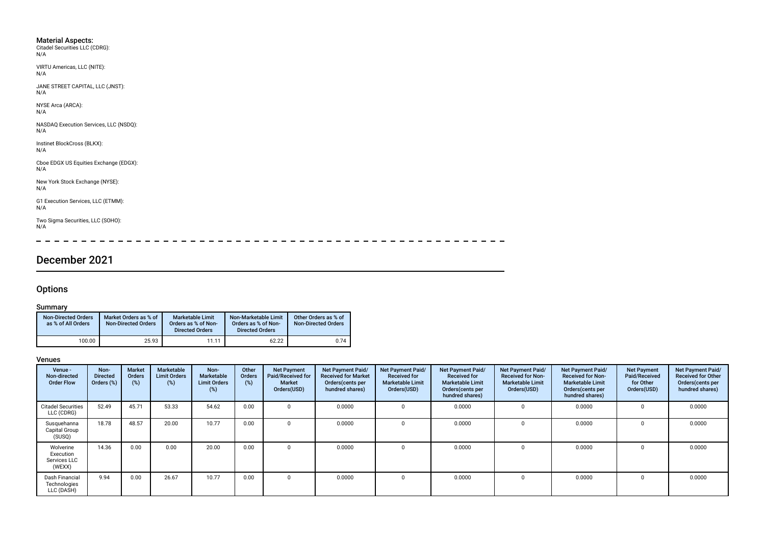- Material Aspects: Citadel Securities LLC (CDRG): N/A
- VIRTU Americas, LLC (NITE):  $N/A$

JANE STREET CAPITAL, LLC (JNST): N/A

NYSE Arca (ARCA): N/A

NASDAQ Execution Services, LLC (NSDQ): N/A

Instinet BlockCross (BLKX): N/A

Cboe EDGX US Equities Exchange (EDGX): N/A

New York Stock Exchange (NYSE): N/A

G1 Execution Services, LLC (ETMM): N/A

Two Sigma Securities, LLC (SOHO): N/A

 $\equiv$  $\sim$  $\overline{a}$  $\sim$  $\sim$  $\overline{\phantom{a}}$  $\overline{\phantom{a}}$  $\frac{1}{2}$  $\overline{\phantom{0}}$  $\overline{\phantom{0}}$  $\overline{\phantom{0}}$  $\overline{\phantom{0}}$ 

# December 2021

## **Options**

## **Summary**

| <b>Non-Directed Orders</b><br>as % of All Orders | Market Orders as % of<br><b>Non-Directed Orders</b> | Marketable Limit<br>Orders as % of Non-<br><b>Directed Orders</b> | Non-Marketable Limit<br>Orders as % of Non-<br><b>Directed Orders</b> | Other Orders as % of<br><b>Non-Directed Orders</b> |
|--------------------------------------------------|-----------------------------------------------------|-------------------------------------------------------------------|-----------------------------------------------------------------------|----------------------------------------------------|
| 100.00                                           | 25.93                                               | 11.11                                                             | 62.22                                                                 | 0.74                                               |

| Venue -<br>Non-directed<br><b>Order Flow</b>     | Non-<br><b>Directed</b><br>Orders (%) | <b>Market</b><br>Orders<br>(%) | Marketable<br><b>Limit Orders</b><br>(%) | Non-<br>Marketable<br><b>Limit Orders</b><br>(%) | Other<br><b>Orders</b><br>(%) | <b>Net Payment</b><br>Paid/Received for<br>Market<br>Orders(USD) | Net Payment Paid/<br><b>Received for Market</b><br>Orders (cents per<br>hundred shares) | Net Payment Paid/<br><b>Received for</b><br><b>Marketable Limit</b><br>Orders(USD) | Net Payment Paid/<br><b>Received for</b><br><b>Marketable Limit</b><br>Orders(cents per<br>hundred shares) | Net Payment Paid/<br><b>Received for Non-</b><br><b>Marketable Limit</b><br>Orders(USD) | <b>Net Payment Paid/</b><br><b>Received for Non-</b><br><b>Marketable Limit</b><br>Orders (cents per<br>hundred shares) | <b>Net Payment</b><br>Paid/Received<br>for Other<br>Orders(USD) | Net Payment Paid/<br><b>Received for Other</b><br>Orders(cents per<br>hundred shares) |
|--------------------------------------------------|---------------------------------------|--------------------------------|------------------------------------------|--------------------------------------------------|-------------------------------|------------------------------------------------------------------|-----------------------------------------------------------------------------------------|------------------------------------------------------------------------------------|------------------------------------------------------------------------------------------------------------|-----------------------------------------------------------------------------------------|-------------------------------------------------------------------------------------------------------------------------|-----------------------------------------------------------------|---------------------------------------------------------------------------------------|
| <b>Citadel Securities</b><br>LLC (CDRG)          | 52.49                                 | 45.71                          | 53.33                                    | 54.62                                            | 0.00                          | $\Omega$                                                         | 0.0000                                                                                  | $\Omega$                                                                           | 0.0000                                                                                                     |                                                                                         | 0.0000                                                                                                                  |                                                                 | 0.0000                                                                                |
| Susquehanna<br>Capital Group<br>(SUSQ)           | 18.78                                 | 48.57                          | 20.00                                    | 10.77                                            | 0.00                          | $\Omega$                                                         | 0.0000                                                                                  | $\Omega$                                                                           | 0.0000                                                                                                     |                                                                                         | 0.0000                                                                                                                  | 0                                                               | 0.0000                                                                                |
| Wolverine<br>Execution<br>Services LLC<br>(WEXX) | 14.36                                 | 0.00                           | 0.00                                     | 20.00                                            | 0.00                          |                                                                  | 0.0000                                                                                  | 0                                                                                  | 0.0000                                                                                                     |                                                                                         | 0.0000                                                                                                                  |                                                                 | 0.0000                                                                                |
| Dash Financial<br>Technologies<br>LLC (DASH)     | 9.94                                  | 0.00                           | 26.67                                    | 10.77                                            | 0.00                          |                                                                  | 0.0000                                                                                  |                                                                                    | 0.0000                                                                                                     |                                                                                         | 0.0000                                                                                                                  |                                                                 | 0.0000                                                                                |